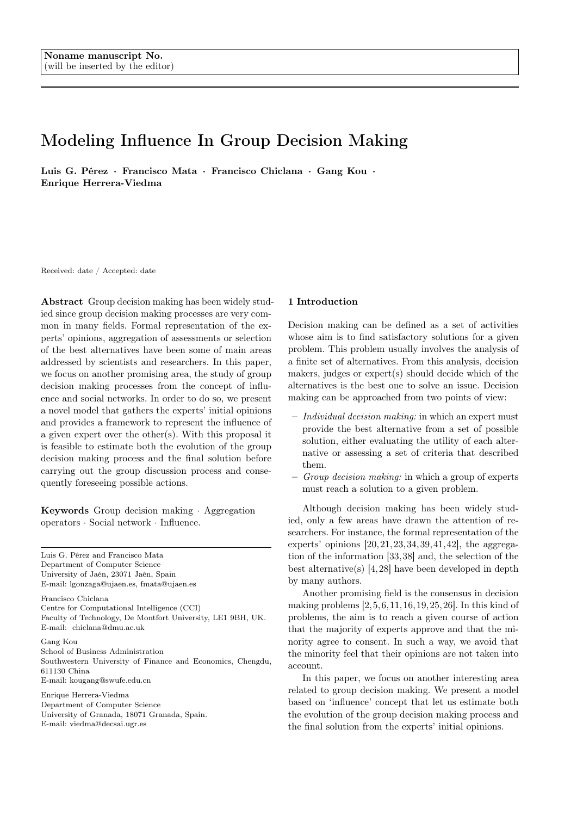# Modeling Influence In Group Decision Making

Luis G. Pérez · Francisco Mata · Francisco Chiclana · Gang Kou · Enrique Herrera-Viedma

Received: date / Accepted: date

Abstract Group decision making has been widely studied since group decision making processes are very common in many fields. Formal representation of the experts' opinions, aggregation of assessments or selection of the best alternatives have been some of main areas addressed by scientists and researchers. In this paper, we focus on another promising area, the study of group decision making processes from the concept of influence and social networks. In order to do so, we present a novel model that gathers the experts' initial opinions and provides a framework to represent the influence of a given expert over the other(s). With this proposal it is feasible to estimate both the evolution of the group decision making process and the final solution before carrying out the group discussion process and consequently foreseeing possible actions.

Keywords Group decision making · Aggregation operators · Social network · Influence.

Luis G. Pérez and Francisco Mata Department of Computer Science University of Jaén, 23071 Jaén, Spain E-mail: lgonzaga@ujaen.es, fmata@ujaen.es

Francisco Chiclana Centre for Computational Intelligence (CCI) Faculty of Technology, De Montfort University, LE1 9BH, UK. E-mail: chiclana@dmu.ac.uk

Gang Kou School of Business Administration Southwestern University of Finance and Economics, Chengdu, 611130 China E-mail: kougang@swufe.edu.cn

Enrique Herrera-Viedma Department of Computer Science University of Granada, 18071 Granada, Spain. E-mail: viedma@decsai.ugr.es

# 1 Introduction

Decision making can be defined as a set of activities whose aim is to find satisfactory solutions for a given problem. This problem usually involves the analysis of a finite set of alternatives. From this analysis, decision makers, judges or expert(s) should decide which of the alternatives is the best one to solve an issue. Decision making can be approached from two points of view:

- Individual decision making: in which an expert must provide the best alternative from a set of possible solution, either evaluating the utility of each alternative or assessing a set of criteria that described them.
- Group decision making: in which a group of experts must reach a solution to a given problem.

Although decision making has been widely studied, only a few areas have drawn the attention of researchers. For instance, the formal representation of the experts' opinions [20,21,23,34,39,41,42], the aggregation of the information [33,38] and, the selection of the best alternative(s) [4,28] have been developed in depth by many authors.

Another promising field is the consensus in decision making problems [2,5,6,11,16,19,25,26]. In this kind of problems, the aim is to reach a given course of action that the majority of experts approve and that the minority agree to consent. In such a way, we avoid that the minority feel that their opinions are not taken into account.

In this paper, we focus on another interesting area related to group decision making. We present a model based on 'influence' concept that let us estimate both the evolution of the group decision making process and the final solution from the experts' initial opinions.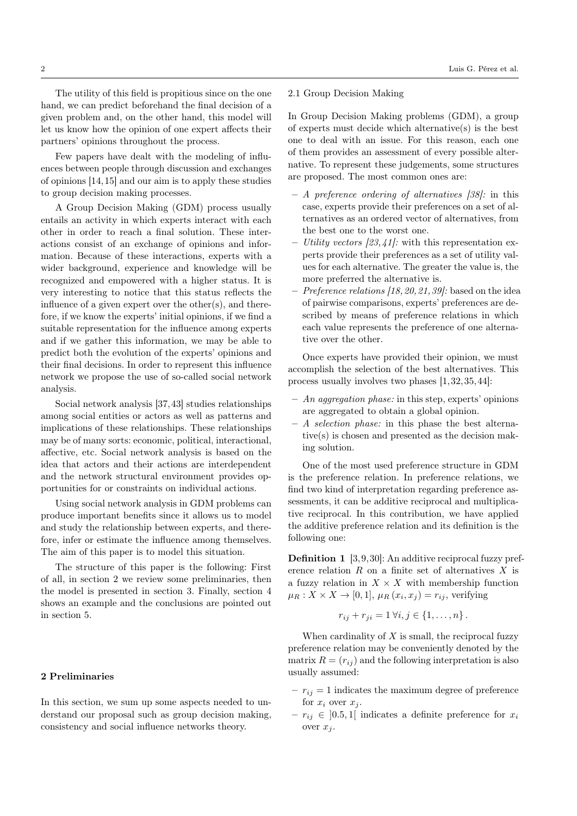The utility of this field is propitious since on the one hand, we can predict beforehand the final decision of a given problem and, on the other hand, this model will let us know how the opinion of one expert affects their partners' opinions throughout the process.

Few papers have dealt with the modeling of influences between people through discussion and exchanges of opinions [14,15] and our aim is to apply these studies to group decision making processes.

A Group Decision Making (GDM) process usually entails an activity in which experts interact with each other in order to reach a final solution. These interactions consist of an exchange of opinions and information. Because of these interactions, experts with a wider background, experience and knowledge will be recognized and empowered with a higher status. It is very interesting to notice that this status reflects the influence of a given expert over the other(s), and therefore, if we know the experts' initial opinions, if we find a suitable representation for the influence among experts and if we gather this information, we may be able to predict both the evolution of the experts' opinions and their final decisions. In order to represent this influence network we propose the use of so-called social network analysis.

Social network analysis [37,43] studies relationships among social entities or actors as well as patterns and implications of these relationships. These relationships may be of many sorts: economic, political, interactional, affective, etc. Social network analysis is based on the idea that actors and their actions are interdependent and the network structural environment provides opportunities for or constraints on individual actions.

Using social network analysis in GDM problems can produce important benefits since it allows us to model and study the relationship between experts, and therefore, infer or estimate the influence among themselves. The aim of this paper is to model this situation.

The structure of this paper is the following: First of all, in section 2 we review some preliminaries, then the model is presented in section 3. Finally, section 4 shows an example and the conclusions are pointed out in section 5.

## 2 Preliminaries

In this section, we sum up some aspects needed to understand our proposal such as group decision making, consistency and social influence networks theory.

# 2.1 Group Decision Making

In Group Decision Making problems (GDM), a group of experts must decide which alternative(s) is the best one to deal with an issue. For this reason, each one of them provides an assessment of every possible alternative. To represent these judgements, some structures are proposed. The most common ones are:

- A preference ordering of alternatives [38]: in this case, experts provide their preferences on a set of alternatives as an ordered vector of alternatives, from the best one to the worst one.
- Utility vectors  $[23, 41]$ : with this representation experts provide their preferences as a set of utility values for each alternative. The greater the value is, the more preferred the alternative is.
- Preference relations  $[18, 20, 21, 39]$ : based on the idea of pairwise comparisons, experts' preferences are described by means of preference relations in which each value represents the preference of one alternative over the other.

Once experts have provided their opinion, we must accomplish the selection of the best alternatives. This process usually involves two phases [1,32,35,44]:

- $An aggregation phase: in this step, experts' opinions$ are aggregated to obtain a global opinion.
- A selection phase: in this phase the best alternative(s) is chosen and presented as the decision making solution.

One of the most used preference structure in GDM is the preference relation. In preference relations, we find two kind of interpretation regarding preference assessments, it can be additive reciprocal and multiplicative reciprocal. In this contribution, we have applied the additive preference relation and its definition is the following one:

Definition 1 [3,9,30]: An additive reciprocal fuzzy preference relation R on a finite set of alternatives X is a fuzzy relation in  $X \times X$  with membership function  $\mu_R: X \times X \to [0,1], \mu_R(x_i, x_j) = r_{ij}$ , verifying

$$
r_{ij} + r_{ji} = 1 \,\forall i, j \in \{1, ..., n\}.
$$

When cardinality of  $X$  is small, the reciprocal fuzzy preference relation may be conveniently denoted by the matrix  $R = (r_{ij})$  and the following interpretation is also usually assumed:

- $r_{ij} = 1$  indicates the maximum degree of preference for  $x_i$  over  $x_j$ .
- $r_{ij} \in [0.5, 1]$  indicates a definite preference for  $x_i$ over  $x_i$ .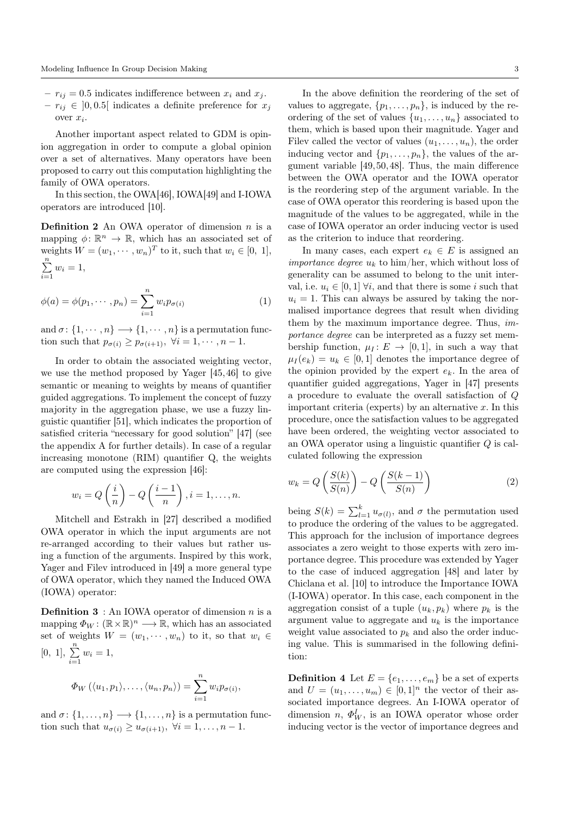- $r_{ij} = 0.5$  indicates indifference between  $x_i$  and  $x_j$ .
- $-r_{ij} \in [0, 0.5]$  indicates a definite preference for  $x_j$ over  $x_i$ .

Another important aspect related to GDM is opinion aggregation in order to compute a global opinion over a set of alternatives. Many operators have been proposed to carry out this computation highlighting the family of OWA operators.

In this section, the OWA[46], IOWA[49] and I-IOWA operators are introduced [10].

**Definition 2** An OWA operator of dimension  $n$  is a mapping  $\phi: \mathbb{R}^n \to \mathbb{R}$ , which has an associated set of weights  $W = (w_1, \dots, w_n)^T$  to it, such that  $w_i \in [0, 1]$ ,  $\sum_{n=1}^{\infty}$  $\sum_{i=1} w_i = 1,$ 

$$
\phi(a) = \phi(p_1, \cdots, p_n) = \sum_{i=1}^n w_i p_{\sigma(i)} \tag{1}
$$

and  $\sigma: \{1, \dots, n\} \longrightarrow \{1, \dots, n\}$  is a permutation function such that  $p_{\sigma(i)} \geq p_{\sigma(i+1)}, \ \forall i = 1, \cdots, n-1.$ 

In order to obtain the associated weighting vector, we use the method proposed by Yager [45,46] to give semantic or meaning to weights by means of quantifier guided aggregations. To implement the concept of fuzzy majority in the aggregation phase, we use a fuzzy linguistic quantifier [51], which indicates the proportion of satisfied criteria "necessary for good solution" [47] (see the appendix A for further details). In case of a regular increasing monotone (RIM) quantifier Q, the weights are computed using the expression [46]:

$$
w_i = Q\left(\frac{i}{n}\right) - Q\left(\frac{i-1}{n}\right), i = 1, \dots, n.
$$

Mitchell and Estrakh in [27] described a modified OWA operator in which the input arguments are not re-arranged according to their values but rather using a function of the arguments. Inspired by this work, Yager and Filev introduced in [49] a more general type of OWA operator, which they named the Induced OWA (IOWA) operator:

**Definition 3** : An IOWA operator of dimension  $n$  is a mapping  $\Phi_W : (\mathbb{R} \times \mathbb{R})^n \longrightarrow \mathbb{R}$ , which has an associated set of weights  $W = (w_1, \dots, w_n)$  to it, so that  $w_i \in$  $[0, 1], \sum_{n=1}^{\infty}$  $\sum_{i=1} w_i = 1,$ 

$$
\Phi_W(\langle u_1,p_1\rangle,\ldots,\langle u_n,p_n\rangle)=\sum_{i=1}^n w_i p_{\sigma(i)},
$$

and  $\sigma: \{1, \ldots, n\} \longrightarrow \{1, \ldots, n\}$  is a permutation function such that  $u_{\sigma(i)} \geq u_{\sigma(i+1)}, \ \forall i = 1, \ldots, n-1.$ 

In the above definition the reordering of the set of values to aggregate,  $\{p_1, \ldots, p_n\}$ , is induced by the reordering of the set of values  $\{u_1, \ldots, u_n\}$  associated to them, which is based upon their magnitude. Yager and Filev called the vector of values  $(u_1, \ldots, u_n)$ , the order inducing vector and  $\{p_1, \ldots, p_n\}$ , the values of the argument variable [49,50,48]. Thus, the main difference between the OWA operator and the IOWA operator is the reordering step of the argument variable. In the case of OWA operator this reordering is based upon the magnitude of the values to be aggregated, while in the case of IOWA operator an order inducing vector is used as the criterion to induce that reordering.

In many cases, each expert  $e_k \in E$  is assigned an *importance degree*  $u_k$  to him/her, which without loss of generality can be assumed to belong to the unit interval, i.e.  $u_i \in [0, 1]$   $\forall i$ , and that there is some i such that  $u_i = 1$ . This can always be assured by taking the normalised importance degrees that result when dividing them by the maximum importance degree. Thus, importance degree can be interpreted as a fuzzy set membership function,  $\mu_I: E \to [0, 1]$ , in such a way that  $\mu_I(e_k) = u_k \in [0,1]$  denotes the importance degree of the opinion provided by the expert  $e_k$ . In the area of quantifier guided aggregations, Yager in [47] presents a procedure to evaluate the overall satisfaction of Q important criteria (experts) by an alternative  $x$ . In this procedure, once the satisfaction values to be aggregated have been ordered, the weighting vector associated to an OWA operator using a linguistic quantifier Q is calculated following the expression

$$
w_k = Q\left(\frac{S(k)}{S(n)}\right) - Q\left(\frac{S(k-1)}{S(n)}\right)
$$
 (2)

being  $S(k) = \sum_{l=1}^{k} u_{\sigma(l)}$ , and  $\sigma$  the permutation used to produce the ordering of the values to be aggregated. This approach for the inclusion of importance degrees associates a zero weight to those experts with zero importance degree. This procedure was extended by Yager to the case of induced aggregation [48] and later by Chiclana et al. [10] to introduce the Importance IOWA (I-IOWA) operator. In this case, each component in the aggregation consist of a tuple  $(u_k, p_k)$  where  $p_k$  is the argument value to aggregate and  $u_k$  is the importance weight value associated to  $p_k$  and also the order inducing value. This is summarised in the following definition:

**Definition 4** Let  $E = \{e_1, \ldots, e_m\}$  be a set of experts and  $U = (u_1, \ldots, u_m) \in [0, 1]^n$  the vector of their associated importance degrees. An I-IOWA operator of dimension  $n, \Phi_W^I$ , is an IOWA operator whose order inducing vector is the vector of importance degrees and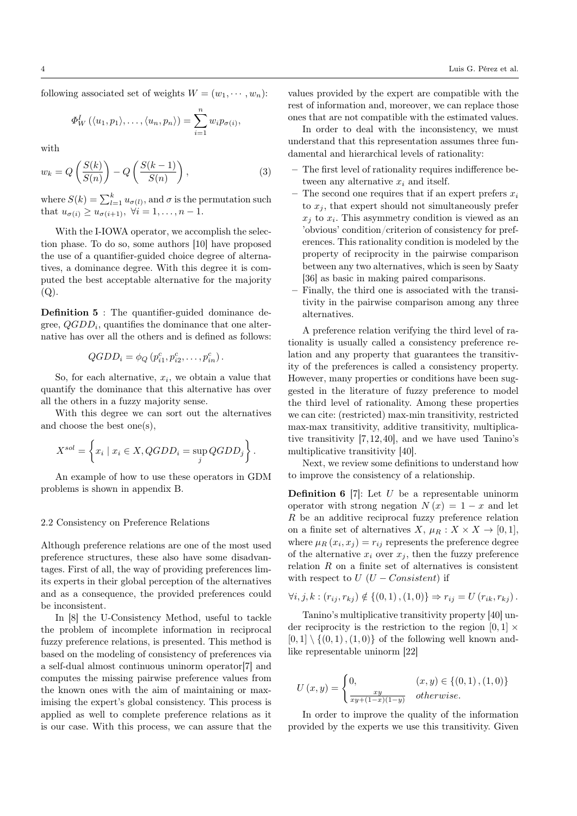following associated set of weights  $W = (w_1, \dots, w_n)$ :

$$
\Phi_W^I(\langle u_1,p_1\rangle,\ldots,\langle u_n,p_n\rangle)=\sum_{i=1}^n w_i p_{\sigma(i)},
$$

with

$$
w_k = Q\left(\frac{S(k)}{S(n)}\right) - Q\left(\frac{S(k-1)}{S(n)}\right),\tag{3}
$$

where  $S(k) = \sum_{l=1}^{k} u_{\sigma(l)}$ , and  $\sigma$  is the permutation such that  $u_{\sigma(i)} \geq u_{\sigma(i+1)}, \ \forall i = 1, \ldots, n-1.$ 

With the I-IOWA operator, we accomplish the selection phase. To do so, some authors [10] have proposed the use of a quantifier-guided choice degree of alternatives, a dominance degree. With this degree it is computed the best acceptable alternative for the majority  $(Q)$ .

Definition 5 : The quantifier-guided dominance degree,  $QGDD_i$ , quantifies the dominance that one alternative has over all the others and is defined as follows:

$$
QGDD_i = \phi_Q(p_{i1}^c, p_{i2}^c, \dots, p_{in}^c).
$$

So, for each alternative,  $x_i$ , we obtain a value that quantify the dominance that this alternative has over all the others in a fuzzy majority sense.

With this degree we can sort out the alternatives and choose the best one(s),

$$
X^{sol} = \left\{ x_i \mid x_i \in X, QGDD_i = \sup_j QGDD_j \right\}.
$$

An example of how to use these operators in GDM problems is shown in appendix B.

#### 2.2 Consistency on Preference Relations

Although preference relations are one of the most used preference structures, these also have some disadvantages. First of all, the way of providing preferences limits experts in their global perception of the alternatives and as a consequence, the provided preferences could be inconsistent.

In [8] the U-Consistency Method, useful to tackle the problem of incomplete information in reciprocal fuzzy preference relations, is presented. This method is based on the modeling of consistency of preferences via a self-dual almost continuous uninorm operator[7] and computes the missing pairwise preference values from the known ones with the aim of maintaining or maximising the expert's global consistency. This process is applied as well to complete preference relations as it is our case. With this process, we can assure that the values provided by the expert are compatible with the rest of information and, moreover, we can replace those ones that are not compatible with the estimated values.

In order to deal with the inconsistency, we must understand that this representation assumes three fundamental and hierarchical levels of rationality:

- The first level of rationality requires indifference between any alternative  $x_i$  and itself.
- The second one requires that if an expert prefers  $x_i$ to  $x_i$ , that expert should not simultaneously prefer  $x_j$  to  $x_i$ . This asymmetry condition is viewed as an 'obvious' condition/criterion of consistency for preferences. This rationality condition is modeled by the property of reciprocity in the pairwise comparison between any two alternatives, which is seen by Saaty [36] as basic in making paired comparisons.
- Finally, the third one is associated with the transitivity in the pairwise comparison among any three alternatives.

A preference relation verifying the third level of rationality is usually called a consistency preference relation and any property that guarantees the transitivity of the preferences is called a consistency property. However, many properties or conditions have been suggested in the literature of fuzzy preference to model the third level of rationality. Among these properties we can cite: (restricted) max-min transitivity, restricted max-max transitivity, additive transitivity, multiplicative transitivity [7,12,40], and we have used Tanino's multiplicative transitivity [40].

Next, we review some definitions to understand how to improve the consistency of a relationship.

**Definition 6** [7]: Let  $U$  be a representable uninorm operator with strong negation  $N(x) = 1 - x$  and let  $R$  be an additive reciprocal fuzzy preference relation on a finite set of alternatives  $X, \mu_R : X \times X \to [0, 1],$ where  $\mu_R(x_i, x_j) = r_{ij}$  represents the preference degree of the alternative  $x_i$  over  $x_j$ , then the fuzzy preference relation  $R$  on a finite set of alternatives is consistent with respect to  $U$  ( $U$  – Consistent) if

$$
\forall i, j, k : (r_{ij}, r_{kj}) \notin \{ (0, 1), (1, 0) \} \Rightarrow r_{ij} = U(r_{ik}, r_{kj}).
$$

Tanino's multiplicative transitivity property [40] under reciprocity is the restriction to the region  $[0, 1] \times$  $[0, 1] \setminus \{(0, 1), (1, 0)\}\$  of the following well known andlike representable uninorm [22]

$$
U(x,y) = \begin{cases} 0, & (x,y) \in \{(0,1), (1,0)\} \\ \frac{xy}{xy + (1-x)(1-y)} & otherwise. \end{cases}
$$

In order to improve the quality of the information provided by the experts we use this transitivity. Given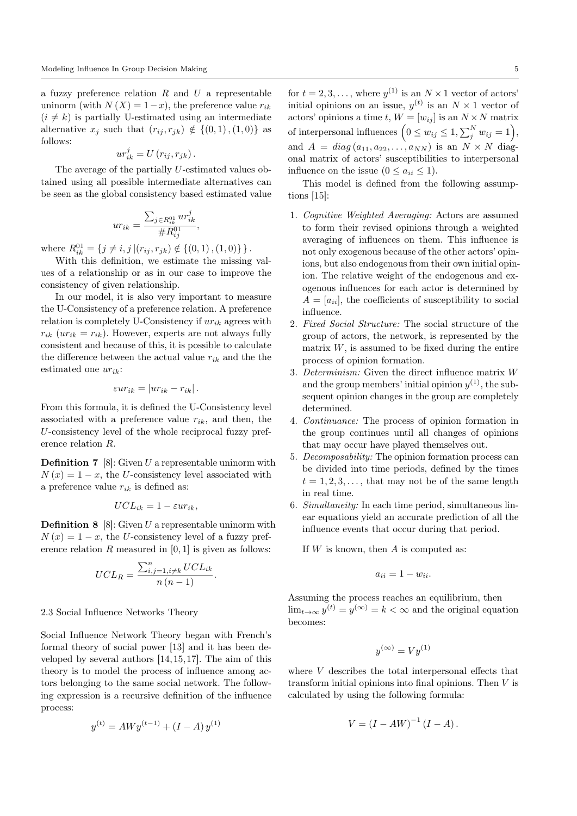a fuzzy preference relation  $R$  and  $U$  a representable uninorm (with  $N(X) = 1-x$ ), the preference value  $r_{ik}$  $(i \neq k)$  is partially U-estimated using an intermediate alternative  $x_j$  such that  $(r_{ij}, r_{jk}) \notin \{(0, 1), (1, 0)\}\$ as follows:

$$
ur_{ik}^j = U(r_{ij}, r_{jk}).
$$

The average of the partially U-estimated values obtained using all possible intermediate alternatives can be seen as the global consistency based estimated value

$$
ur_{ik} = \frac{\sum_{j \in R_{ik}^{01}} u r_{ik}^j}{\# R_{ij}^{01}},
$$

where  $R_{ik}^{01} = \{j \neq i, j | (r_{ij}, r_{jk}) \notin \{(0, 1), (1, 0)\}\}\.$ 

With this definition, we estimate the missing values of a relationship or as in our case to improve the consistency of given relationship.

In our model, it is also very important to measure the U-Consistency of a preference relation. A preference relation is completely U-Consistency if  $ur_{ik}$  agrees with  $r_{ik}$  ( $ur_{ik} = r_{ik}$ ). However, experts are not always fully consistent and because of this, it is possible to calculate the difference between the actual value  $r_{ik}$  and the the estimated one  $ur_{ik}$ :

$$
\varepsilon u r_{ik} = |u r_{ik} - r_{ik}|.
$$

From this formula, it is defined the U-Consistency level associated with a preference value  $r_{ik}$ , and then, the U-consistency level of the whole reciprocal fuzzy preference relation R.

**Definition 7** [8]: Given  $U$  a representable uninorm with  $N(x) = 1 - x$ , the U-consistency level associated with a preference value  $r_{ik}$  is defined as:

$$
UCL_{ik} = 1 - \varepsilon u r_{ik},
$$

**Definition 8** [8]: Given  $U$  a representable uninorm with  $N(x) = 1 - x$ , the U-consistency level of a fuzzy preference relation  $R$  measured in  $[0, 1]$  is given as follows:

$$
UCL_R = \frac{\sum_{i,j=1, i \neq k}^{n} UCL_{ik}}{n(n-1)}.
$$

## 2.3 Social Influence Networks Theory

Social Influence Network Theory began with French's formal theory of social power [13] and it has been developed by several authors [14,15,17]. The aim of this theory is to model the process of influence among actors belonging to the same social network. The following expression is a recursive definition of the influence process:

$$
y^{(t)} = AWy^{(t-1)} + (I - A)y^{(1)}
$$

for  $t = 2, 3, \ldots$ , where  $y^{(1)}$  is an  $N \times 1$  vector of actors' initial opinions on an issue,  $y^{(t)}$  is an  $N \times 1$  vector of actors' opinions a time t,  $W = [w_{ij}]$  is an  $N \times N$  matrix of interpersonal influences  $(0 \le w_{ij} \le 1, \sum_j^N w_{ij} = 1),$ and  $A = diag(a_{11}, a_{22}, \ldots, a_{NN})$  is an  $N \times N$  diagonal matrix of actors' susceptibilities to interpersonal influence on the issue  $(0 \le a_{ii} \le 1)$ .

This model is defined from the following assumptions [15]:

- 1. Cognitive Weighted Averaging: Actors are assumed to form their revised opinions through a weighted averaging of influences on them. This influence is not only exogenous because of the other actors' opinions, but also endogenous from their own initial opinion. The relative weight of the endogenous and exogenous influences for each actor is determined by  $A = [a_{ii}]$ , the coefficients of susceptibility to social influence.
- 2. Fixed Social Structure: The social structure of the group of actors, the network, is represented by the matrix  $W$ , is assumed to be fixed during the entire process of opinion formation.
- 3. Determinism: Given the direct influence matrix W and the group members' initial opinion  $y^{(1)}$ , the subsequent opinion changes in the group are completely determined.
- 4. Continuance: The process of opinion formation in the group continues until all changes of opinions that may occur have played themselves out.
- 5. Decomposability: The opinion formation process can be divided into time periods, defined by the times  $t = 1, 2, 3, \ldots$ , that may not be of the same length in real time.
- 6. Simultaneity: In each time period, simultaneous linear equations yield an accurate prediction of all the influence events that occur during that period.

If  $W$  is known, then  $A$  is computed as:

$$
a_{ii} = 1 - w_{ii}.
$$

Assuming the process reaches an equilibrium, then  $\lim_{t\to\infty} y^{(t)} = y^{(\infty)} = k < \infty$  and the original equation becomes:

$$
y^{(\infty)} = Vy^{(1)}
$$

where  $V$  describes the total interpersonal effects that transform initial opinions into final opinions. Then V is calculated by using the following formula:

$$
V = (I - AW)^{-1} (I - A).
$$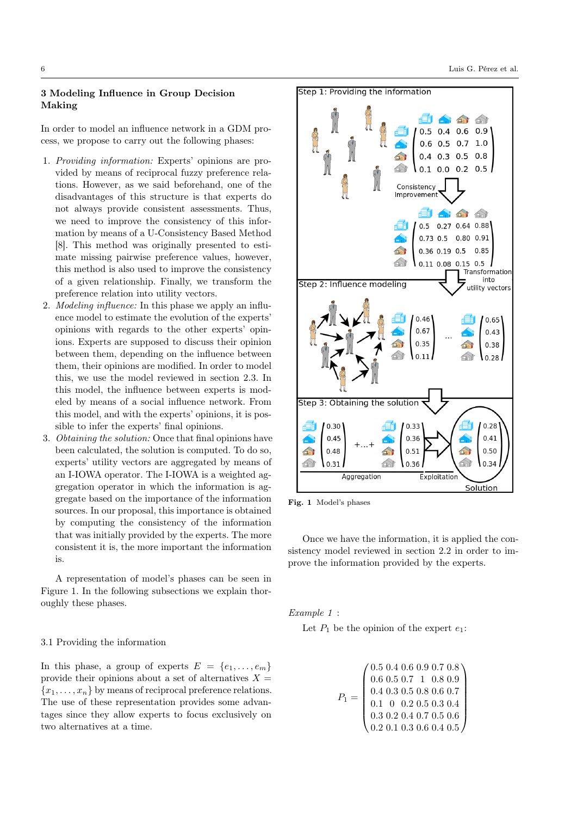# 3 Modeling Influence in Group Decision Making

In order to model an influence network in a GDM process, we propose to carry out the following phases:

- 1. Providing information: Experts' opinions are provided by means of reciprocal fuzzy preference relations. However, as we said beforehand, one of the disadvantages of this structure is that experts do not always provide consistent assessments. Thus, we need to improve the consistency of this information by means of a U-Consistency Based Method [8]. This method was originally presented to estimate missing pairwise preference values, however, this method is also used to improve the consistency of a given relationship. Finally, we transform the preference relation into utility vectors.
- 2. Modeling influence: In this phase we apply an influence model to estimate the evolution of the experts' opinions with regards to the other experts' opinions. Experts are supposed to discuss their opinion between them, depending on the influence between them, their opinions are modified. In order to model this, we use the model reviewed in section 2.3. In this model, the influence between experts is modeled by means of a social influence network. From this model, and with the experts' opinions, it is possible to infer the experts' final opinions.
- 3. Obtaining the solution: Once that final opinions have been calculated, the solution is computed. To do so, experts' utility vectors are aggregated by means of an I-IOWA operator. The I-IOWA is a weighted aggregation operator in which the information is aggregate based on the importance of the information sources. In our proposal, this importance is obtained by computing the consistency of the information that was initially provided by the experts. The more consistent it is, the more important the information is.

A representation of model's phases can be seen in Figure 1. In the following subsections we explain thoroughly these phases.

# 3.1 Providing the information

In this phase, a group of experts  $E = \{e_1, \ldots, e_m\}$ provide their opinions about a set of alternatives  $X =$  ${x_1, \ldots, x_n}$  by means of reciprocal preference relations. The use of these representation provides some advantages since they allow experts to focus exclusively on two alternatives at a time.



Fig. 1 Model's phases

Once we have the information, it is applied the consistency model reviewed in section 2.2 in order to improve the information provided by the experts.

Example 1 :

Let  $P_1$  be the opinion of the expert  $e_1$ :

$$
P_1 = \begin{pmatrix} 0.5 & 0.4 & 0.6 & 0.9 & 0.7 & 0.8 \\ 0.6 & 0.5 & 0.7 & 1 & 0.8 & 0.9 \\ 0.4 & 0.3 & 0.5 & 0.8 & 0.6 & 0.7 \\ 0.1 & 0 & 0.2 & 0.5 & 0.3 & 0.4 \\ 0.3 & 0.2 & 0.4 & 0.7 & 0.5 & 0.6 \\ 0.2 & 0.1 & 0.3 & 0.6 & 0.4 & 0.5 \end{pmatrix}
$$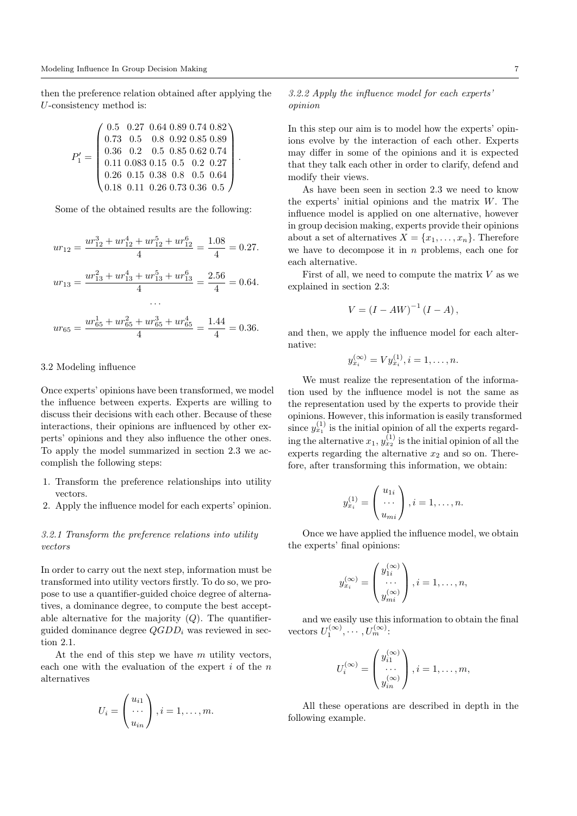then the preference relation obtained after applying the U-consistency method is:

$$
P'_1 = \left(\begin{array}{cccc} 0.5 & 0.27 & 0.64 & 0.89 & 0.74 & 0.82 \\ 0.73 & 0.5 & 0.8 & 0.92 & 0.85 & 0.89 \\ 0.36 & 0.2 & 0.5 & 0.85 & 0.62 & 0.74 \\ 0.11 & 0.083 & 0.15 & 0.5 & 0.2 & 0.27 \\ 0.26 & 0.15 & 0.38 & 0.8 & 0.5 & 0.64 \\ 0.18 & 0.11 & 0.26 & 0.73 & 0.36 & 0.5 \end{array}\right).
$$

Some of the obtained results are the following:

$$
ur_{12} = \frac{ur_{12}^3 + ur_{12}^4 + ur_{12}^5 + ur_{12}^6}{4} = \frac{1.08}{4} = 0.27.
$$
  

$$
ur_{13} = \frac{ur_{13}^2 + ur_{13}^4 + ur_{13}^5 + ur_{13}^6}{4} = \frac{2.56}{4} = 0.64.
$$
...

$$
ur_{65} = \frac{ur_{65}^1 + ur_{65}^2 + ur_{65}^3 + ur_{65}^4}{4} = \frac{1.44}{4} = 0.36.
$$

## 3.2 Modeling influence

Once experts' opinions have been transformed, we model the influence between experts. Experts are willing to discuss their decisions with each other. Because of these interactions, their opinions are influenced by other experts' opinions and they also influence the other ones. To apply the model summarized in section 2.3 we accomplish the following steps:

- 1. Transform the preference relationships into utility vectors.
- 2. Apply the influence model for each experts' opinion.

# 3.2.1 Transform the preference relations into utility vectors

In order to carry out the next step, information must be transformed into utility vectors firstly. To do so, we propose to use a quantifier-guided choice degree of alternatives, a dominance degree, to compute the best acceptable alternative for the majority  $(Q)$ . The quantifierguided dominance degree  $QGDD_i$  was reviewed in section 2.1.

At the end of this step we have  $m$  utility vectors, each one with the evaluation of the expert  $i$  of the  $n$ alternatives

$$
U_i = \begin{pmatrix} u_{i1} \\ \cdots \\ u_{in} \end{pmatrix}, i = 1, \ldots, m.
$$

# 3.2.2 Apply the influence model for each experts' opinion

In this step our aim is to model how the experts' opinions evolve by the interaction of each other. Experts may differ in some of the opinions and it is expected that they talk each other in order to clarify, defend and modify their views.

As have been seen in section 2.3 we need to know the experts' initial opinions and the matrix W. The influence model is applied on one alternative, however in group decision making, experts provide their opinions about a set of alternatives  $X = \{x_1, \ldots, x_n\}$ . Therefore we have to decompose it in  $n$  problems, each one for each alternative.

First of all, we need to compute the matrix  $V$  as we explained in section 2.3:

$$
V = (I - AW)^{-1} (I - A),
$$

and then, we apply the influence model for each alternative:

$$
y_{x_i}^{(\infty)} = V y_{x_i}^{(1)}, i = 1, \dots, n.
$$

We must realize the representation of the information used by the influence model is not the same as the representation used by the experts to provide their opinions. However, this information is easily transformed since  $y_{x_1}^{(1)}$  is the initial opinion of all the experts regarding the alternative  $x_1, y_{x_2}^{(1)}$  is the initial opinion of all the experts regarding the alternative  $x_2$  and so on. Therefore, after transforming this information, we obtain:

$$
y_{x_i}^{(1)} = \begin{pmatrix} u_{1i} \\ \cdots \\ u_{mi} \end{pmatrix}, i = 1, \ldots, n.
$$

Once we have applied the influence model, we obtain the experts' final opinions:

$$
y_{x_i}^{(\infty)} = \begin{pmatrix} y_{1i}^{(\infty)} \\ \cdots \\ y_{mi}^{(\infty)} \end{pmatrix}, i = 1, \dots, n,
$$

and we easily use this information to obtain the final vectors  $U_1^{(\infty)}, \dots, U_m^{(\infty)}$ :

$$
U_i^{(\infty)} = \begin{pmatrix} y_{i1}^{(\infty)} \\ \cdots \\ y_{in}^{(\infty)} \end{pmatrix}, i = 1, \dots, m,
$$

All these operations are described in depth in the following example.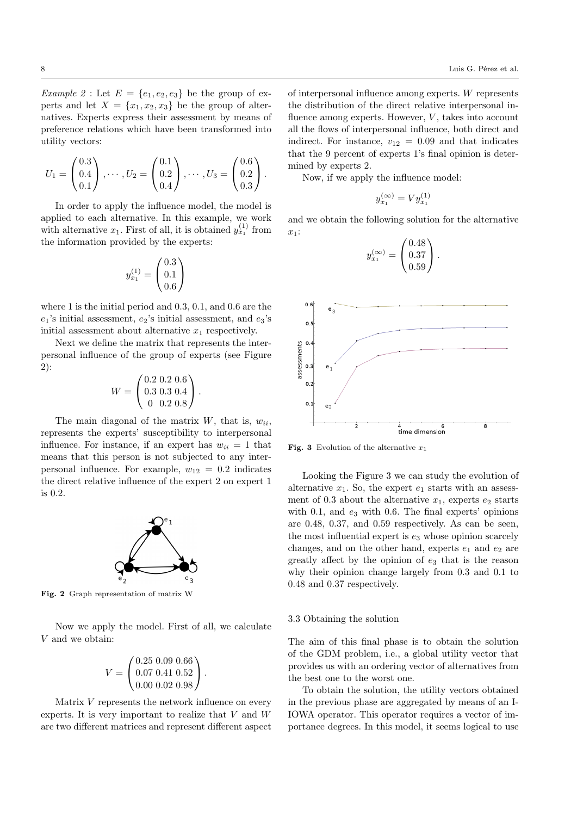*Example 2* : Let  $E = \{e_1, e_2, e_3\}$  be the group of experts and let  $X = \{x_1, x_2, x_3\}$  be the group of alternatives. Experts express their assessment by means of preference relations which have been transformed into utility vectors:

$$
U_1 = \begin{pmatrix} 0.3 \\ 0.4 \\ 0.1 \end{pmatrix}, \cdots, U_2 = \begin{pmatrix} 0.1 \\ 0.2 \\ 0.4 \end{pmatrix}, \cdots, U_3 = \begin{pmatrix} 0.6 \\ 0.2 \\ 0.3 \end{pmatrix}.
$$

In order to apply the influence model, the model is applied to each alternative. In this example, we work with alternative  $x_1$ . First of all, it is obtained  $y_{x_1}^{(1)}$  from the information provided by the experts:

$$
y_{x_1}^{(1)} = \begin{pmatrix} 0.3\\0.1\\0.6 \end{pmatrix}
$$

where 1 is the initial period and 0.3, 0.1, and 0.6 are the  $e_1$ 's initial assessment,  $e_2$ 's initial assessment, and  $e_3$ 's initial assessment about alternative  $x_1$  respectively.

Next we define the matrix that represents the interpersonal influence of the group of experts (see Figure 2):

$$
W = \begin{pmatrix} 0.2 & 0.2 & 0.6 \\ 0.3 & 0.3 & 0.4 \\ 0 & 0.2 & 0.8 \end{pmatrix}.
$$

The main diagonal of the matrix  $W$ , that is,  $w_{ii}$ , represents the experts' susceptibility to interpersonal influence. For instance, if an expert has  $w_{ii} = 1$  that means that this person is not subjected to any interpersonal influence. For example,  $w_{12} = 0.2$  indicates the direct relative influence of the expert 2 on expert 1 is 0.2.



Fig. 2 Graph representation of matrix W

Now we apply the model. First of all, we calculate V and we obtain:

$$
V = \begin{pmatrix} 0.25 & 0.09 & 0.66 \\ 0.07 & 0.41 & 0.52 \\ 0.00 & 0.02 & 0.98 \end{pmatrix}.
$$

Matrix  $V$  represents the network influence on every experts. It is very important to realize that V and W are two different matrices and represent different aspect

of interpersonal influence among experts. W represents the distribution of the direct relative interpersonal influence among experts. However,  $V$ , takes into account all the flows of interpersonal influence, both direct and indirect. For instance,  $v_{12} = 0.09$  and that indicates that the 9 percent of experts 1's final opinion is determined by experts 2.

Now, if we apply the influence model:

$$
y_{x_1}^{(\infty)} = V y_{x_1}^{(1)}
$$

and we obtain the following solution for the alternative  $x_1$ :

$$
y_{x_1}^{(\infty)} = \begin{pmatrix} 0.48 \\ 0.37 \\ 0.59 \end{pmatrix}.
$$



**Fig. 3** Evolution of the alternative  $x_1$ 

Looking the Figure 3 we can study the evolution of alternative  $x_1$ . So, the expert  $e_1$  starts with an assessment of 0.3 about the alternative  $x_1$ , experts  $e_2$  starts with 0.1, and  $e_3$  with 0.6. The final experts' opinions are 0.48, 0.37, and 0.59 respectively. As can be seen, the most influential expert is  $e_3$  whose opinion scarcely changes, and on the other hand, experts  $e_1$  and  $e_2$  are greatly affect by the opinion of  $e_3$  that is the reason why their opinion change largely from 0.3 and 0.1 to 0.48 and 0.37 respectively.

## 3.3 Obtaining the solution

The aim of this final phase is to obtain the solution of the GDM problem, i.e., a global utility vector that provides us with an ordering vector of alternatives from the best one to the worst one.

To obtain the solution, the utility vectors obtained in the previous phase are aggregated by means of an I-IOWA operator. This operator requires a vector of importance degrees. In this model, it seems logical to use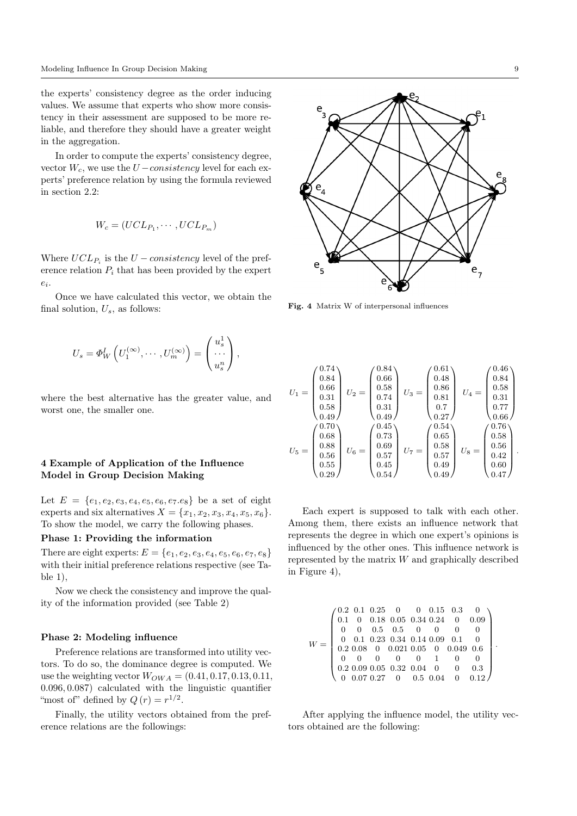the experts' consistency degree as the order inducing values. We assume that experts who show more consistency in their assessment are supposed to be more reliable, and therefore they should have a greater weight in the aggregation.

In order to compute the experts' consistency degree, vector  $W_c$ , we use the  $U$  – consistency level for each experts' preference relation by using the formula reviewed in section 2.2:

$$
W_c = (UCL_{P_1}, \cdots, UCL_{P_m})
$$

Where  $UCL_{P_i}$  is the  $U-consistency$  level of the preference relation  $P_i$  that has been provided by the expert  $e_i$ .

Once we have calculated this vector, we obtain the final solution,  $U_s$ , as follows:

$$
U_s = \Phi_W^I \left( U_1^{(\infty)}, \cdots, U_m^{(\infty)} \right) = \begin{pmatrix} u_s^1 \\ \cdots \\ u_s^n \end{pmatrix},
$$

where the best alternative has the greater value, and worst one, the smaller one.

# 4 Example of Application of the Influence Model in Group Decision Making

Let  $E = \{e_1, e_2, e_3, e_4, e_5, e_6, e_7 \ldots \}$  be a set of eight experts and six alternatives  $X = \{x_1, x_2, x_3, x_4, x_5, x_6\}.$ To show the model, we carry the following phases.

## Phase 1: Providing the information

There are eight experts:  $E = \{e_1, e_2, e_3, e_4, e_5, e_6, e_7, e_8\}$ with their initial preference relations respective (see Table 1),

Now we check the consistency and improve the quality of the information provided (see Table 2)

## Phase 2: Modeling influence

Preference relations are transformed into utility vectors. To do so, the dominance degree is computed. We use the weighting vector  $W_{OWA} = (0.41, 0.17, 0.13, 0.11,$ 0.096, 0.087) calculated with the linguistic quantifier "most of" defined by  $Q(r) = r^{1/2}$ .

Finally, the utility vectors obtained from the preference relations are the followings:



Fig. 4 Matrix W of interpersonal influences

$$
U_1 = \begin{pmatrix} 0.74 \\ 0.84 \\ 0.66 \\ 0.31 \\ 0.58 \\ 0.49 \end{pmatrix} U_2 = \begin{pmatrix} 0.84 \\ 0.66 \\ 0.58 \\ 0.74 \\ 0.31 \\ 0.49 \end{pmatrix} U_3 = \begin{pmatrix} 0.61 \\ 0.48 \\ 0.86 \\ 0.81 \\ 0.7 \\ 0.77 \\ 0.27 \end{pmatrix} U_4 = \begin{pmatrix} 0.46 \\ 0.84 \\ 0.58 \\ 0.31 \\ 0.77 \\ 0.66 \end{pmatrix}
$$

$$
U_5 = \begin{pmatrix} 0.70 \\ 0.88 \\ 0.88 \\ 0.56 \\ 0.56 \\ 0.55 \\ 0.55 \\ 0.29 \end{pmatrix} U_6 = \begin{pmatrix} 0.45 \\ 0.73 \\ 0.69 \\ 0.57 \\ 0.45 \\ 0.45 \end{pmatrix} U_7 = \begin{pmatrix} 0.54 \\ 0.58 \\ 0.58 \\ 0.57 \\ 0.49 \end{pmatrix} U_8 = \begin{pmatrix} 0.76 \\ 0.58 \\ 0.56 \\ 0.42 \\ 0.40 \\ 0.47 \end{pmatrix}.
$$

Each expert is supposed to talk with each other. Among them, there exists an influence network that represents the degree in which one expert's opinions is influenced by the other ones. This influence network is represented by the matrix  $W$  and graphically described in Figure 4),

$$
W = \begin{pmatrix} 0.2 & 0.1 & 0.25 & 0 & 0 & 0.15 & 0.3 & 0 \\ 0.1 & 0 & 0.18 & 0.05 & 0.34 & 0.24 & 0 & 0.09 \\ 0 & 0 & 0.5 & 0.5 & 0 & 0 & 0 & 0 \\ 0 & 0.1 & 0.23 & 0.34 & 0.14 & 0.09 & 0.1 & 0 \\ 0.2 & 0.08 & 0 & 0.021 & 0.05 & 0 & 0.049 & 0.6 \\ 0 & 0 & 0 & 0 & 0 & 1 & 0 & 0 \\ 0.2 & 0.09 & 0.05 & 0.32 & 0.04 & 0 & 0 & 0.3 \\ 0 & 0.07 & 0.27 & 0 & 0.5 & 0.04 & 0 & 0.12 \end{pmatrix}
$$

.

After applying the influence model, the utility vectors obtained are the following: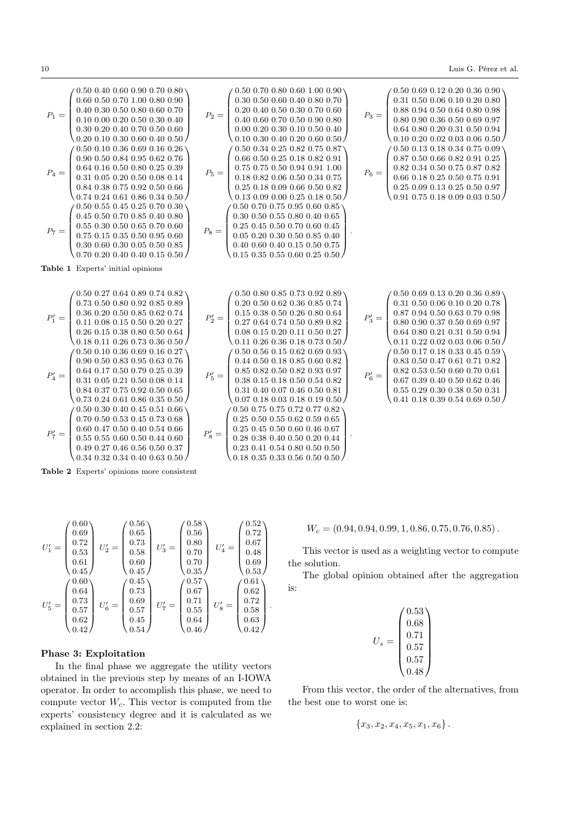$$
P_1 = \left(\begin{matrix} 0.50\ 0.40\ 0.50\ 0.70\ 0.10\ 0.30\ 0.50\ 0.70\ 0.50\ 0.60\ 0.40\ 0.50\ 0.50\ 0.50\ 0.50\ 0.50\ 0.50\ 0.50\ 0.50\ 0.50\ 0.50\ 0.50\ 0.50\ 0.50\ 0.50\ 0.50\ 0.50\ 0.50\ 0.50\ 0.50\ 0.50\ 0.50\ 0.50\ 0.50\ 0.50\ 0.50\ 0.50\ 0.50\ 0.50\ 0.50\ 0.50\ 0.50\ 0.50\ 0.50\ 0.50\ 0.50\ 0.50\ 0.50\ 0.50\ 0.50\ 0.50\ 0.50\ 0.50\ 0.50\ 0.50\ 0.50\ 0.50\ 0.50\ 0.50\ 0.50\ 0.50\ 0.50\ 0.50\ 0.50\ 0.50\ 0.50\ 0.50\ 0.50\ 0.50\ 0.50\ 0.50\ 0.50\ 0.50\ 0.50\ 0.50\ 0.50\ 0.50\ 0.50\ 0.50\ 0.50\ 0.50\ 0.50\ 0.50\ 0.50\ 0.50\ 0.50\ 0.50\ 0.50\ 0.50\ 0.50\ 0.50\ 0.50\ 0.50\ 0.50\ 0.50\ 0.50\ 0.50\ 0.50\ 0.50\ 0.50\ 0.50\ 0.50\ 0.50\ 0.50\ 0.50\ 0.50\ 0.50\ 0.50\ 0.50\ 0.50\ 0.50\ 0.50\ 0.50\ 0.50\ 0.50\ 0.50\ 0.50\ 0.50\ 0.50\ 0.50\ 0.50\ 0.50\ 0.50\ 0.50\ 0.5
$$

Table 2 Experts' opinions more consistent

$$
U_1' = \begin{pmatrix} 0.60 \\ 0.69 \\ 0.72 \\ 0.53 \\ 0.61 \\ 0.45 \end{pmatrix} \ U_2' = \begin{pmatrix} 0.56 \\ 0.65 \\ 0.73 \\ 0.58 \\ 0.60 \\ 0.45 \end{pmatrix} \ U_3' = \begin{pmatrix} 0.58 \\ 0.56 \\ 0.80 \\ 0.70 \\ 0.70 \\ 0.70 \end{pmatrix} \ U_4' = \begin{pmatrix} 0.52 \\ 0.72 \\ 0.67 \\ 0.48 \\ 0.69 \\ 0.57 \\ 0.62 \\ 0.62 \end{pmatrix}
$$

$$
U_5' = \begin{pmatrix} 0.60 \\ 0.64 \\ 0.73 \\ 0.57 \\ 0.57 \\ 0.64 \end{pmatrix} \ U_7' = \begin{pmatrix} 0.57 \\ 0.72 \\ 0.70 \\ 0.67 \\ 0.55 \\ 0.55 \\ 0.64 \end{pmatrix} \ U_8' = \begin{pmatrix} 0.61 \\ 0.62 \\ 0.52 \\ 0.58 \\ 0.63 \\ 0.64 \end{pmatrix}.
$$

# Phase 3: Exploitation

In the final phase we aggregate the utility vectors obtained in the previous step by means of an I-IOWA operator. In order to accomplish this phase, we need to compute vector  $W_c$ . This vector is computed from the experts' consistency degree and it is calculated as we explained in section 2.2:

$$
W_c=(0.94, 0.94, 0.99, 1, 0.86, 0.75, 0.76, 0.85).
$$

This vector is used as a weighting vector to compute the solution.

The global opinion obtained after the aggregation is:

$$
U_s = \begin{pmatrix} 0.53 \\ 0.68 \\ 0.71 \\ 0.57 \\ 0.57 \\ 0.48 \end{pmatrix}
$$

From this vector, the order of the alternatives, from the best one to worst one is:

$$
\{x_3, x_2, x_4, x_5, x_1, x_6\}.
$$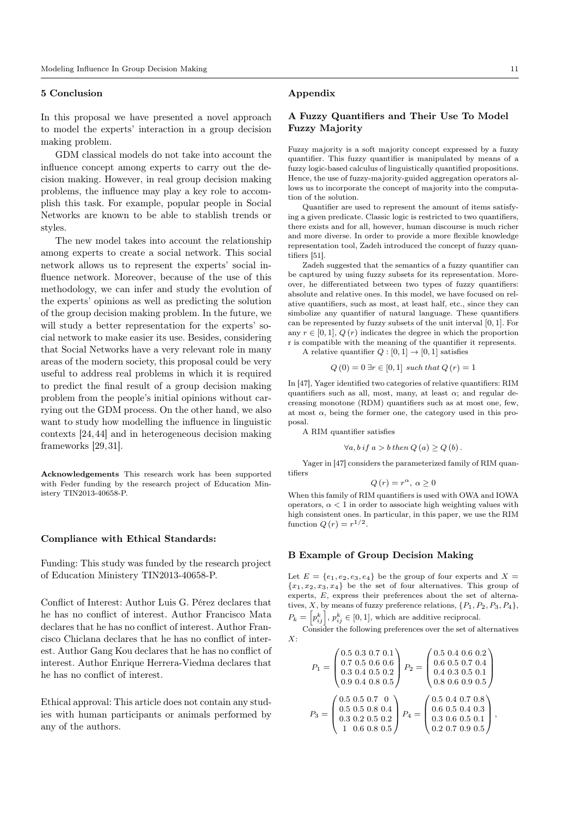## 5 Conclusion

In this proposal we have presented a novel approach to model the experts' interaction in a group decision making problem.

GDM classical models do not take into account the influence concept among experts to carry out the decision making. However, in real group decision making problems, the influence may play a key role to accomplish this task. For example, popular people in Social Networks are known to be able to stablish trends or styles.

The new model takes into account the relationship among experts to create a social network. This social network allows us to represent the experts' social influence network. Moreover, because of the use of this methodology, we can infer and study the evolution of the experts' opinions as well as predicting the solution of the group decision making problem. In the future, we will study a better representation for the experts' social network to make easier its use. Besides, considering that Social Networks have a very relevant role in many areas of the modern society, this proposal could be very useful to address real problems in which it is required to predict the final result of a group decision making problem from the people's initial opinions without carrying out the GDM process. On the other hand, we also want to study how modelling the influence in linguistic contexts [24,44] and in heterogeneous decision making frameworks [29,31].

Acknowledgements This research work has been supported with Feder funding by the research project of Education Ministery TIN2013-40658-P.

#### Compliance with Ethical Standards:

Funding: This study was funded by the research project of Education Ministery TIN2013-40658-P.

Conflict of Interest: Author Luis G. Pérez declares that he has no conflict of interest. Author Francisco Mata declares that he has no conflict of interest. Author Francisco Chiclana declares that he has no conflict of interest. Author Gang Kou declares that he has no conflict of interest. Author Enrique Herrera-Viedma declares that he has no conflict of interest.

Ethical approval: This article does not contain any studies with human participants or animals performed by any of the authors.

## Appendix

# A Fuzzy Quantifiers and Their Use To Model Fuzzy Majority

Fuzzy majority is a soft majority concept expressed by a fuzzy quantifier. This fuzzy quantifier is manipulated by means of a fuzzy logic-based calculus of linguistically quantified propositions. Hence, the use of fuzzy-majority-guided aggregation operators allows us to incorporate the concept of majority into the computation of the solution.

Quantifier are used to represent the amount of items satisfying a given predicate. Classic logic is restricted to two quantifiers, there exists and for all, however, human discourse is much richer and more diverse. In order to provide a more flexible knowledge representation tool, Zadeh introduced the concept of fuzzy quantifiers [51].

Zadeh suggested that the semantics of a fuzzy quantifier can be captured by using fuzzy subsets for its representation. Moreover, he differentiated between two types of fuzzy quantifiers: absolute and relative ones. In this model, we have focused on relative quantifiers, such as most, at least half, etc., since they can simbolize any quantifier of natural language. These quantifiers can be represented by fuzzy subsets of the unit interval [0, 1]. For any  $r \in [0, 1], Q(r)$  indicates the degree in which the proportion r is compatible with the meaning of the quantifier it represents. A relative quantifier  $Q : [0,1] \to [0,1]$  satisfies

 $Q(0) = 0$   $\exists n \in [0, 1]$  exab that  $Q(n)$  =

$$
Q(0) = 0 \exists r \in [0, 1]
$$
 such that  $Q(r) = 1$ 

In [47], Yager identified two categories of relative quantifiers: RIM quantifiers such as all, most, many, at least  $\alpha$ ; and regular decreasing monotone (RDM) quantifiers such as at most one, few, at most  $\alpha$ , being the former one, the category used in this proposal.

A RIM quantifier satisfies

$$
\forall a, b \text{ if } a > b \text{ then } Q(a) \ge Q(b).
$$

Yager in [47] considers the parameterized family of RIM quantifiers

$$
Q(r) = r^{\alpha}, \ \alpha \ge 0
$$

When this family of RIM quantifiers is used with OWA and IOWA operators,  $\alpha < 1$  in order to associate high weighting values with high consistent ones. In particular, in this paper, we use the RIM function  $Q(r) = r^{1/2}$ .

## B Example of Group Decision Making

Let  $E = \{e_1, e_2, e_3, e_4\}$  be the group of four experts and  $X =$  ${x_1, x_2, x_3, x_4}$  be the set of four alternatives. This group of experts, E, express their preferences about the set of alternatives, X, by means of fuzzy preference relations,  $\{P_1, P_2, P_3, P_4\}$ ,  $P_k = \left[p_{ij}^k\right], p_{ij}^k \in [0, 1],$  which are additive reciprocal.

Consider the following preferences over the set of alternatives  $X:$ 

$$
P_1 = \begin{pmatrix} 0.5 & 0.3 & 0.7 & 0.1 \\ 0.7 & 0.5 & 0.6 & 0.6 \\ 0.3 & 0.4 & 0.5 & 0.2 \\ 0.9 & 0.4 & 0.8 & 0.5 \end{pmatrix} P_2 = \begin{pmatrix} 0.5 & 0.4 & 0.6 & 0.2 \\ 0.6 & 0.5 & 0.7 & 0.4 \\ 0.4 & 0.3 & 0.5 & 0.1 \\ 0.8 & 0.6 & 0.9 & 0.5 \end{pmatrix}
$$

$$
P_3 = \begin{pmatrix} 0.5 & 0.5 & 0.7 & 0 \\ 0.5 & 0.5 & 0.8 & 0.4 \\ 0.3 & 0.2 & 0.5 & 0.2 \\ 1 & 0.6 & 0.8 & 0.5 \end{pmatrix} P_4 = \begin{pmatrix} 0.5 & 0.4 & 0.7 & 0.8 \\ 0.6 & 0.5 & 0.4 & 0.3 \\ 0.3 & 0.6 & 0.5 & 0.1 \\ 0.2 & 0.7 & 0.9 & 0.5 \end{pmatrix},
$$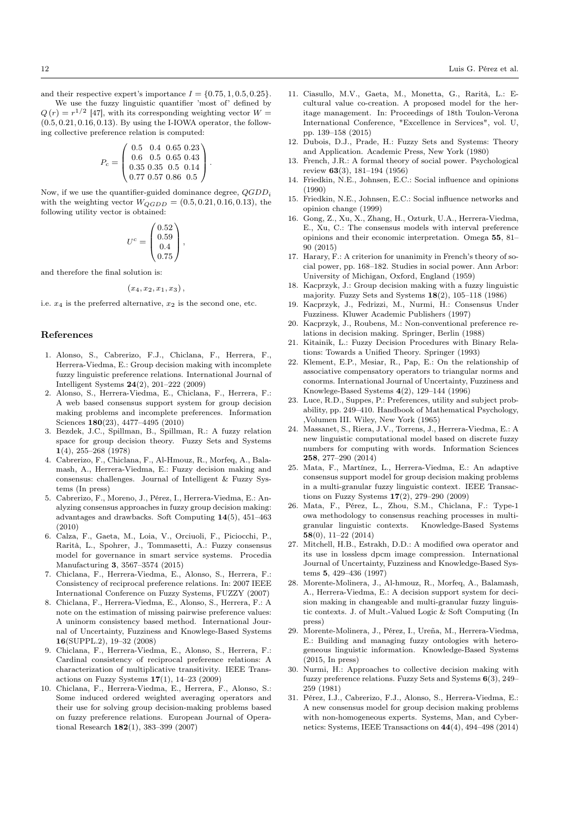and their respective expert's importance  $I = \{0.75, 1, 0.5, 0.25\}.$ 

We use the fuzzy linguistic quantifier 'most of' defined by  $Q(r) = r^{1/2}$  [47], with its corresponding weighting vector  $W =$  $(0.5, 0.21, 0.16, 0.13)$ . By using the I-IOWA operator, the following collective preference relation is computed:

$$
P_c = \left(\begin{array}{ccc} 0.5 & 0.4 & 0.65 & 0.23 \\ 0.6 & 0.5 & 0.65 & 0.43 \\ 0.35 & 0.35 & 0.5 & 0.14 \\ 0.77 & 0.57 & 0.86 & 0.5 \end{array}\right).
$$

Now, if we use the quantifier-guided dominance degree,  $QGDD_i$ with the weighting vector  $W_{QGDD} = (0.5, 0.21, 0.16, 0.13)$ , the following utility vector is obtained:

$$
U^c = \begin{pmatrix} 0.52 \\ 0.59 \\ 0.4 \\ 0.75 \end{pmatrix},
$$

and therefore the final solution is:

$$
(x_4, x_2, x_1, x_3),
$$

i.e.  $x_4$  is the preferred alternative,  $x_2$  is the second one, etc.

## References

- 1. Alonso, S., Cabrerizo, F.J., Chiclana, F., Herrera, F., Herrera-Viedma, E.: Group decision making with incomplete fuzzy linguistic preference relations. International Journal of Intelligent Systems 24(2), 201–222 (2009)
- 2. Alonso, S., Herrera-Viedma, E., Chiclana, F., Herrera, F.: A web based consensus support system for group decision making problems and incomplete preferences. Information Sciences 180(23), 4477–4495 (2010)
- 3. Bezdek, J.C., Spillman, B., Spillman, R.: A fuzzy relation space for group decision theory. Fuzzy Sets and Systems 1(4), 255–268 (1978)
- 4. Cabrerizo, F., Chiclana, F., Al-Hmouz, R., Morfeq, A., Balamash, A., Herrera-Viedma, E.: Fuzzy decision making and consensus: challenges. Journal of Intelligent & Fuzzy Systems (In press)
- 5. Cabrerizo, F., Moreno, J., Pérez, I., Herrera-Viedma, E.: Analyzing consensus approaches in fuzzy group decision making: advantages and drawbacks. Soft Computing 14(5), 451–463 (2010)
- 6. Calza, F., Gaeta, M., Loia, V., Orciuoli, F., Piciocchi, P., Rarità, L., Spohrer, J., Tommasetti, A.: Fuzzy consensus model for governance in smart service systems. Procedia Manufacturing 3, 3567–3574 (2015)
- 7. Chiclana, F., Herrera-Viedma, E., Alonso, S., Herrera, F.: Consistency of reciprocal preference relations. In: 2007 IEEE International Conference on Fuzzy Systems, FUZZY (2007)
- 8. Chiclana, F., Herrera-Viedma, E., Alonso, S., Herrera, F.: A note on the estimation of missing pairwise preference values: A uninorm consistency based method. International Journal of Uncertainty, Fuzziness and Knowlege-Based Systems 16(SUPPL.2), 19–32 (2008)
- 9. Chiclana, F., Herrera-Viedma, E., Alonso, S., Herrera, F.: Cardinal consistency of reciprocal preference relations: A characterization of multiplicative transitivity. IEEE Transactions on Fuzzy Systems  $17(1)$ ,  $14-23$  (2009)
- 10. Chiclana, F., Herrera-Viedma, E., Herrera, F., Alonso, S.: Some induced ordered weighted averaging operators and their use for solving group decision-making problems based on fuzzy preference relations. European Journal of Operational Research 182(1), 383–399 (2007)
- 11. Ciasullo, M.V., Gaeta, M., Monetta, G., Rarità, L.: Ecultural value co-creation. A proposed model for the heritage management. In: Proceedings of 18th Toulon-Verona International Conference, "Excellence in Services", vol. U, pp. 139–158 (2015)
- 12. Dubois, D.J., Prade, H.: Fuzzy Sets and Systems: Theory and Application. Academic Press, New York (1980)
- 13. French, J.R.: A formal theory of social power. Psychological review 63(3), 181–194 (1956)
- 14. Friedkin, N.E., Johnsen, E.C.: Social influence and opinions (1990)
- 15. Friedkin, N.E., Johnsen, E.C.: Social influence networks and opinion change (1999)
- 16. Gong, Z., Xu, X., Zhang, H., Ozturk, U.A., Herrera-Viedma, E., Xu, C.: The consensus models with interval preference opinions and their economic interpretation. Omega 55, 81– 90 (2015)
- 17. Harary, F.: A criterion for unanimity in French's theory of social power, pp. 168–182. Studies in social power. Ann Arbor: University of Michigan, Oxford, England (1959)
- 18. Kacprzyk, J.: Group decision making with a fuzzy linguistic majority. Fuzzy Sets and Systems 18(2), 105–118 (1986)
- 19. Kacprzyk, J., Fedrizzi, M., Nurmi, H.: Consensus Under Fuzziness. Kluwer Academic Publishers (1997)
- 20. Kacprzyk, J., Roubens, M.: Non-conventional preference relations in decision making. Springer, Berlin (1988)
- 21. Kitainik, L.: Fuzzy Decision Procedures with Binary Relations: Towards a Unified Theory. Springer (1993)
- 22. Klement, E.P., Mesiar, R., Pap, E.: On the relationship of associative compensatory operators to triangular norms and conorms. International Journal of Uncertainty, Fuzziness and Knowlege-Based Systems 4(2), 129–144 (1996)
- 23. Luce, R.D., Suppes, P.: Preferences, utility and subject probability, pp. 249–410. Handbook of Mathematical Psychology, ,Volumen III. Wiley, New York (1965)
- 24. Massanet, S., Riera, J.V., Torrens, J., Herrera-Viedma, E.: A new linguistic computational model based on discrete fuzzy numbers for computing with words. Information Sciences 258, 277–290 (2014)
- 25. Mata, F., Martínez, L., Herrera-Viedma, E.: An adaptive consensus support model for group decision making problems in a multi-granular fuzzy linguistic context. IEEE Transactions on Fuzzy Systems 17(2), 279–290 (2009)
- 26. Mata, F., Pérez, L., Zhou, S.M., Chiclana, F.: Type-1 owa methodology to consensus reaching processes in multigranular linguistic contexts. Knowledge-Based Systems 58(0), 11–22 (2014)
- 27. Mitchell, H.B., Estrakh, D.D.: A modified owa operator and its use in lossless dpcm image compression. International Journal of Uncertainty, Fuzziness and Knowledge-Based Systems 5, 429–436 (1997)
- 28. Morente-Molinera, J., Al-hmouz, R., Morfeq, A., Balamash, A., Herrera-Viedma, E.: A decision support system for decision making in changeable and multi-granular fuzzy linguistic contexts. J. of Mult.-Valued Logic & Soft Computing (In press)
- 29. Morente-Molinera, J., Pérez, I., Ureña, M., Herrera-Viedma, E.: Building and managing fuzzy ontologies with heterogeneous linguistic information. Knowledge-Based Systems (2015, In press)
- 30. Nurmi, H.: Approaches to collective decision making with fuzzy preference relations. Fuzzy Sets and Systems 6(3), 249– 259 (1981)
- 31. Pérez, I.J., Cabrerizo, F.J., Alonso, S., Herrera-Viedma, E.: A new consensus model for group decision making problems with non-homogeneous experts. Systems, Man, and Cybernetics: Systems, IEEE Transactions on 44(4), 494–498 (2014)